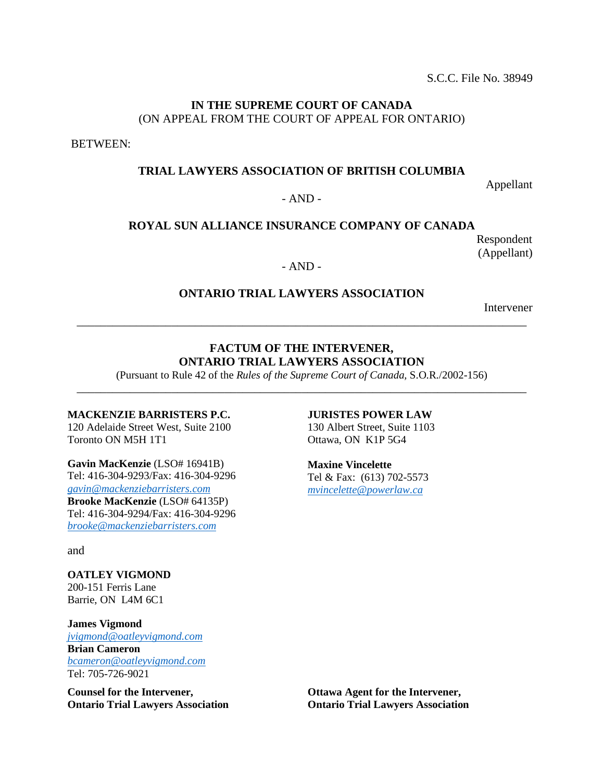S.C.C. File No. 38949

## **IN THE SUPREME COURT OF CANADA** (ON APPEAL FROM THE COURT OF APPEAL FOR ONTARIO)

BETWEEN:

## **TRIAL LAWYERS ASSOCIATION OF BRITISH COLUMBIA**

Appellant

### $- AND -$

### **ROYAL SUN ALLIANCE INSURANCE COMPANY OF CANADA**

Respondent (Appellant)

### - AND -

## **ONTARIO TRIAL LAWYERS ASSOCIATION**

\_\_\_\_\_\_\_\_\_\_\_\_\_\_\_\_\_\_\_\_\_\_\_\_\_\_\_\_\_\_\_\_\_\_\_\_\_\_\_\_\_\_\_\_\_\_\_\_\_\_\_\_\_\_\_\_\_\_\_\_\_\_\_\_\_\_\_\_\_\_\_\_\_\_\_\_

Intervener

## **FACTUM OF THE INTERVENER, ONTARIO TRIAL LAWYERS ASSOCIATION**

(Pursuant to Rule 42 of the *Rules of the Supreme Court of Canada,* S.O.R./2002-156) \_\_\_\_\_\_\_\_\_\_\_\_\_\_\_\_\_\_\_\_\_\_\_\_\_\_\_\_\_\_\_\_\_\_\_\_\_\_\_\_\_\_\_\_\_\_\_\_\_\_\_\_\_\_\_\_\_\_\_\_\_\_\_\_\_\_\_\_\_\_\_\_\_\_\_\_

#### **MACKENZIE BARRISTERS P.C.**

120 Adelaide Street West, Suite 2100 Toronto ON M5H 1T1

**Gavin MacKenzie** (LSO# 16941B) Tel: 416-304-9293/Fax: 416-304-9296 *[gavin@mackenziebarristers.com](mailto:gavin@mackenziebarristers.com)*  **Brooke MacKenzie** (LSO# 64135P) Tel: 416-304-9294/Fax: 416-304-9296 *[brooke@mackenziebarristers.com](mailto:brooke@mackenziebarristers.com)*

and

**OATLEY VIGMOND** 200-151 Ferris Lane Barrie, ON L4M 6C1

**James Vigmond** *[jvigmond@oatleyvigmond.com](mailto:jvigmond@oatleyvigmond.com)*  **Brian Cameron** *[bcameron@oatleyvigmond.com](mailto:bcameron@oatleyvigmond.com)* Tel: 705-726-9021

**Counsel for the Intervener, Ontario Trial Lawyers Association**

#### **JURISTES POWER LAW**

130 Albert Street, Suite 1103 Ottawa, ON K1P 5G4

**Maxine Vincelette**  Tel & Fax: (613) 702-5573 *[mvincelette@powerlaw.ca](mailto:mvincelette@powerlaw.ca)*

**Ottawa Agent for the Intervener, Ontario Trial Lawyers Association**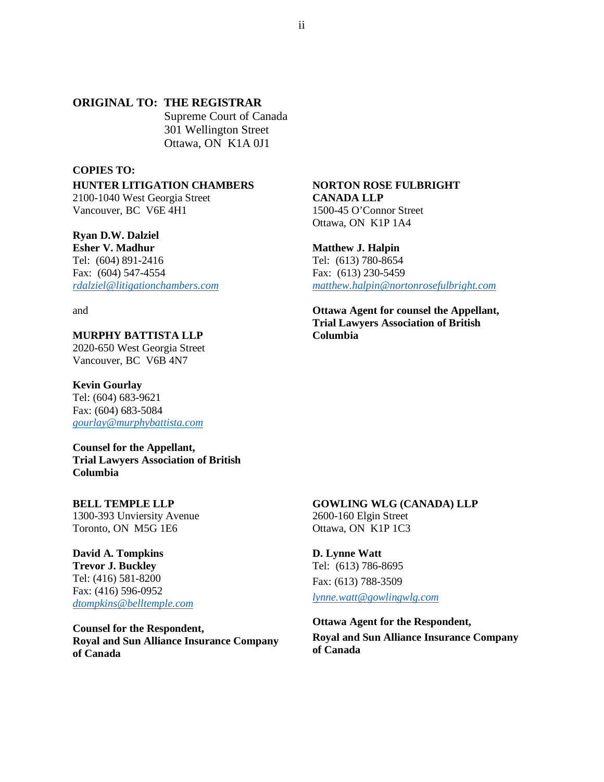## **ORIGINAL TO: THE REGISTRAR**

Supreme Court of Canada 301 Wellington Street Ottawa, ON K1A 0J1

#### **COPIES TO:**

**HUNTER LITIGATION CHAMBERS** 2100-1040 West Georgia Street

Vancouver, BC V6E 4H1

**Ryan D.W. Dalziel Esher V. Madhur** Tel: (604) 891-2416 Fax: (604) 547-4554 *[rdalziel@litigationchambers.com](mailto:rdalziel@litigationchambers.com)*

and

### **MURPHY BATTISTA LLP**

2020-650 West Georgia Street Vancouver, BC V6B 4N7

#### **Kevin Gourlay**

Tel: (604) 683-9621 Fax: (604) 683-5084 *[gourlay@murphybattista.com](mailto:gourlay@murphybattista.com)*

**Counsel for the Appellant, Trial Lawyers Association of British Columbia** 

#### **BELL TEMPLE LLP**

1300-393 Unviersity Avenue Toronto, ON M5G 1E6

**David A. Tompkins Trevor J. Buckley** Tel: (416) 581-8200 Fax: (416) 596-0952 *[dtompkins@belltemple.com](mailto:dtompkins@belltemple.com)*

**Counsel for the Respondent, Royal and Sun Alliance Insurance Company of Canada**

#### **NORTON ROSE FULBRIGHT CANADA LLP**

1500-45 O'Connor Street Ottawa, ON K1P 1A4

#### **Matthew J. Halpin**

Tel: (613) 780-8654 Fax: (613) 230-5459 *[matthew.halpin@nortonrosefulbright.com](mailto:matthew.halpin@nortonrosefulbright.com)*

**Ottawa Agent for counsel the Appellant, Trial Lawyers Association of British Columbia**

### **GOWLING WLG (CANADA) LLP**

2600-160 Elgin Street Ottawa, ON K1P 1C3

**D. Lynne Watt** Tel: (613) 786-8695 Fax: (613) 788-3509 *[lynne.watt@gowlingwlg.com](mailto:lynne.watt@gowlingwlg.com)*

**Ottawa Agent for the Respondent, Royal and Sun Alliance Insurance Company of Canada**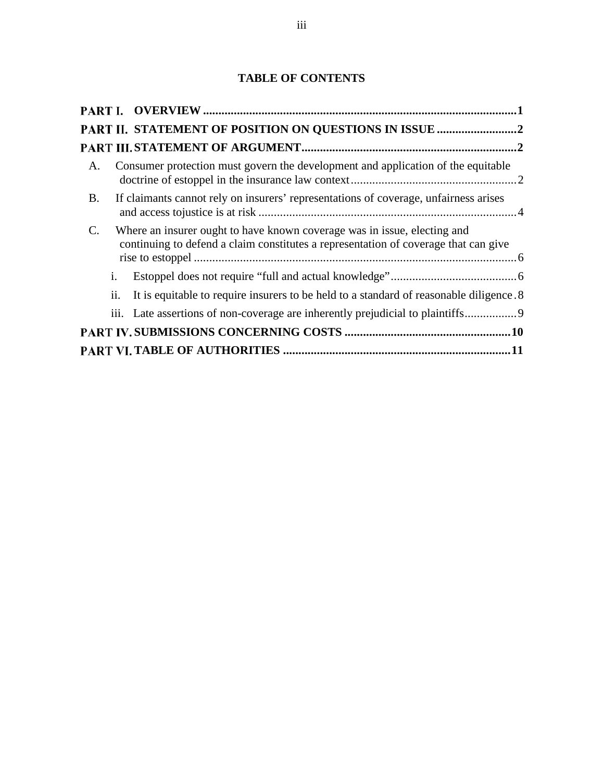# **TABLE OF CONTENTS**

|                |                | PART II. STATEMENT OF POSITION ON QUESTIONS IN ISSUE 2                                                                                                          |  |
|----------------|----------------|-----------------------------------------------------------------------------------------------------------------------------------------------------------------|--|
|                |                |                                                                                                                                                                 |  |
| A.             |                | Consumer protection must govern the development and application of the equitable                                                                                |  |
| B.             |                | If claimants cannot rely on insurers' representations of coverage, unfairness arises                                                                            |  |
| $\mathbf{C}$ . |                | Where an insurer ought to have known coverage was in issue, electing and<br>continuing to defend a claim constitutes a representation of coverage that can give |  |
|                | $\mathbf{i}$ . |                                                                                                                                                                 |  |
|                | ii.            | It is equitable to require insurers to be held to a standard of reasonable diligence. 8                                                                         |  |
|                |                | iii. Late assertions of non-coverage are inherently prejudicial to plaintiffs                                                                                   |  |
|                |                |                                                                                                                                                                 |  |
|                |                |                                                                                                                                                                 |  |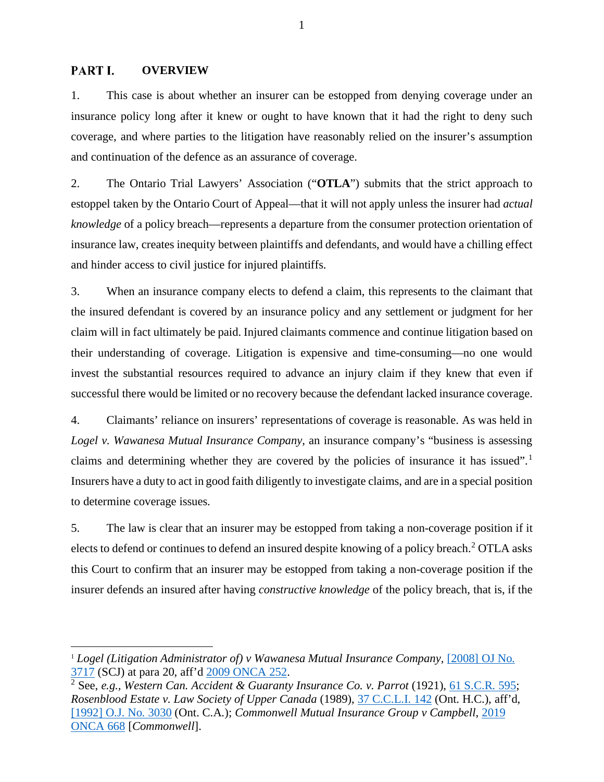#### <span id="page-3-0"></span>PART I. **OVERVIEW**

1. This case is about whether an insurer can be estopped from denying coverage under an insurance policy long after it knew or ought to have known that it had the right to deny such coverage, and where parties to the litigation have reasonably relied on the insurer's assumption and continuation of the defence as an assurance of coverage.

2. The Ontario Trial Lawyers' Association ("**OTLA**") submits that the strict approach to estoppel taken by the Ontario Court of Appeal—that it will not apply unless the insurer had *actual knowledge* of a policy breach—represents a departure from the consumer protection orientation of insurance law, creates inequity between plaintiffs and defendants, and would have a chilling effect and hinder access to civil justice for injured plaintiffs.

3. When an insurance company elects to defend a claim, this represents to the claimant that the insured defendant is covered by an insurance policy and any settlement or judgment for her claim will in fact ultimately be paid. Injured claimants commence and continue litigation based on their understanding of coverage. Litigation is expensive and time-consuming—no one would invest the substantial resources required to advance an injury claim if they knew that even if successful there would be limited or no recovery because the defendant lacked insurance coverage.

4. Claimants' reliance on insurers' representations of coverage is reasonable. As was held in *Logel v. Wawanesa Mutual Insurance Company*, an insurance company's "business is assessing claims and determining whether they are covered by the policies of insurance it has issued".<sup>[1](#page-3-1)</sup> Insurers have a duty to act in good faith diligently to investigate claims, and are in a special position to determine coverage issues.

5. The law is clear that an insurer may be estopped from taking a non-coverage position if it elects to defend or continues to defend an insured despite knowing of a policy breach.<sup>[2](#page-3-2)</sup> OTLA asks this Court to confirm that an insurer may be estopped from taking a non-coverage position if the insurer defends an insured after having *constructive knowledge* of the policy breach, that is, if the

<span id="page-3-1"></span><sup>1</sup> *Logel (Litigation Administrator of) v Wawanesa Mutual Insurance Company,* [\[2008\] OJ No.](https://advance.lexis.com/search/?pdmfid=1505209&crid=a7e734a6-f913-43d3-bc89-1a8a8ad421e2&pdsearchterms=%5B2008%5D+o.j.+no.+3717&pdicsfeatureid=1517129&pdstartin=hlct%3A1%3A11&pdcaseshlctselectedbyuser=false&pdtypeofsearch=searchboxclick&pdsearchtype=SearchBox&pdqttype=or&pdquerytemplateid=&ecomp=7zynk&prid=9be9c619-cb28-4d04-ae2f-3acb3ccb4ace)  <sup>3717</sup> (SCJ) at para 20, aff'd [2009 ONCA 252.](https://canlii.ca/t/22vm1) 2 See, *e.g., Western Can. Accident & Guaranty Insurance Co. v. Parrot* (1921), [61 S.C.R. 595;](https://canlii.ca/t/fsmsp)

<span id="page-3-2"></span>*Rosenblood Estate v. Law Society of Upper Canada* (1989), [37 C.C.L.I. 142](https://advance.lexis.com/search/?pdmfid=1505209&crid=11b39c26-5f73-43b0-9557-045a3f73756e&pdsearchterms=37+C.C.L.I.+142&pdicsfeatureid=1517129&pdstartin=hlct%3A1%3A11&pdcaseshlctselectedbyuser=false&pdtypeofsearch=searchboxclick&pdsearchtype=SearchBox&pdqttype=and&pdquerytemplateid=&ecomp=wg58k&prid=c89e9df2-ab7d-49e6-b8eb-55c7ffb4fda2) (Ont. H.C.), aff'd, [\[1992\] O.J. No. 3030](https://advance.lexis.com/search/?pdmfid=1505209&crid=c89e9df2-ab7d-49e6-b8eb-55c7ffb4fda2&pdsearchterms=rosenblood+estate+v.+law+society+of+upper+canada+(ont.+c.a.)%2C+%5B1992%5D+o.j.+no.+3030&pdicsfeatureid=1517129&pdstartin=hlct%3A1%3A11&pdcaseshlctselectedbyuser=false&pdtypeofsearch=searchboxclick&pdsearchtype=SearchBox&pdqttype=and&pdquerytemplateid=&ecomp=wg58k&prid=a7e734a6-f913-43d3-bc89-1a8a8ad421e2) (Ont. C.A.); *Commonwell Mutual Insurance Group v Campbell*, [2019](https://canlii.ca/t/j24k4)  [ONCA 668](https://canlii.ca/t/j24k4) [*Commonwell*].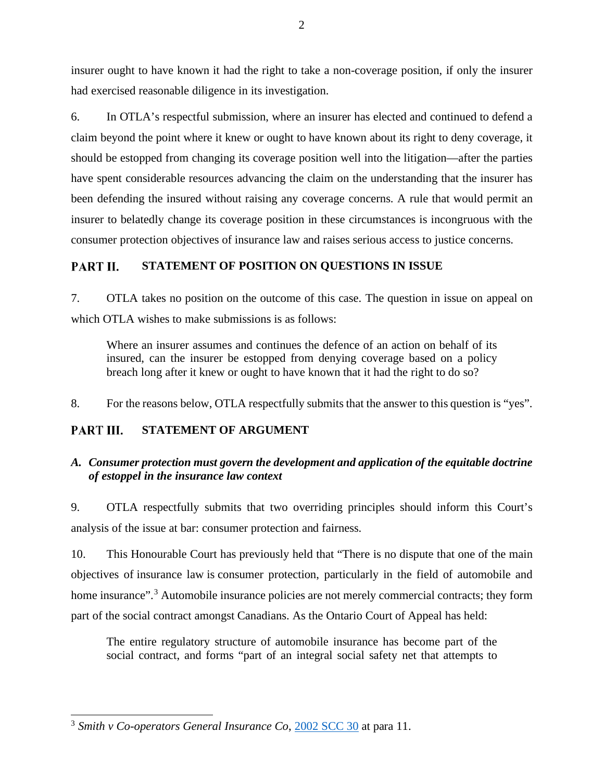insurer ought to have known it had the right to take a non-coverage position, if only the insurer had exercised reasonable diligence in its investigation.

6. In OTLA's respectful submission, where an insurer has elected and continued to defend a claim beyond the point where it knew or ought to have known about its right to deny coverage, it should be estopped from changing its coverage position well into the litigation—after the parties have spent considerable resources advancing the claim on the understanding that the insurer has been defending the insured without raising any coverage concerns. A rule that would permit an insurer to belatedly change its coverage position in these circumstances is incongruous with the consumer protection objectives of insurance law and raises serious access to justice concerns.

#### <span id="page-4-0"></span>**STATEMENT OF POSITION ON QUESTIONS IN ISSUE** PART II.

7. OTLA takes no position on the outcome of this case. The question in issue on appeal on which OTLA wishes to make submissions is as follows:

Where an insurer assumes and continues the defence of an action on behalf of its insured, can the insurer be estopped from denying coverage based on a policy breach long after it knew or ought to have known that it had the right to do so?

8. For the reasons below, OTLA respectfully submits that the answer to this question is "yes".

#### <span id="page-4-1"></span>**STATEMENT OF ARGUMENT** PART III.

# <span id="page-4-2"></span>*A. Consumer protection must govern the development and application of the equitable doctrine of estoppel in the insurance law context*

9. OTLA respectfully submits that two overriding principles should inform this Court's analysis of the issue at bar: consumer protection and fairness.

10. This Honourable Court has previously held that "There is no dispute that one of the main objectives of insurance law is consumer protection, particularly in the field of automobile and home insurance".<sup>[3](#page-4-3)</sup> Automobile insurance policies are not merely commercial contracts; they form part of the social contract amongst Canadians. As the Ontario Court of Appeal has held:

The entire regulatory structure of automobile insurance has become part of the social contract, and forms "part of an integral social safety net that attempts to

<span id="page-4-3"></span><sup>3</sup> *Smith v Co-operators General Insurance Co*, [2002 SCC 30](https://canlii.ca/t/51td) at para 11.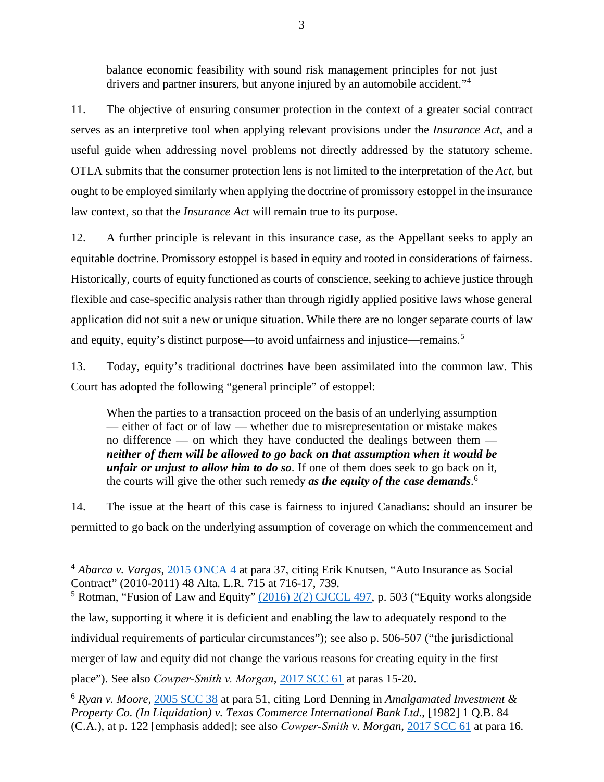balance economic feasibility with sound risk management principles for not just drivers and partner insurers, but anyone injured by an automobile accident."[4](#page-5-0)

11. The objective of ensuring consumer protection in the context of a greater social contract serves as an interpretive tool when applying relevant provisions under the *Insurance Act*, and a useful guide when addressing novel problems not directly addressed by the statutory scheme. OTLA submits that the consumer protection lens is not limited to the interpretation of the *Act*, but ought to be employed similarly when applying the doctrine of promissory estoppel in the insurance law context, so that the *Insurance Act* will remain true to its purpose.

12. A further principle is relevant in this insurance case, as the Appellant seeks to apply an equitable doctrine. Promissory estoppel is based in equity and rooted in considerations of fairness. Historically, courts of equity functioned as courts of conscience, seeking to achieve justice through flexible and case-specific analysis rather than through rigidly applied positive laws whose general application did not suit a new or unique situation. While there are no longer separate courts of law and equity, equity's distinct purpose—to avoid unfairness and injustice—remains.<sup>[5](#page-5-1)</sup>

13. Today, equity's traditional doctrines have been assimilated into the common law. This Court has adopted the following "general principle" of estoppel:

When the parties to a transaction proceed on the basis of an underlying assumption — either of fact or of law — whether due to misrepresentation or mistake makes no difference — on which they have conducted the dealings between them *neither of them will be allowed to go back on that assumption when it would be unfair or unjust to allow him to do so*. If one of them does seek to go back on it, the courts will give the other such remedy *as the equity of the case demands*. [6](#page-5-2)

14. The issue at the heart of this case is fairness to injured Canadians: should an insurer be permitted to go back on the underlying assumption of coverage on which the commencement and

<span id="page-5-0"></span><sup>4</sup> *Abarca v. Vargas*, [2015 ONCA 4 a](https://canlii.ca/t/gftzz)t para 37, citing Erik Knutsen, "Auto Insurance as Social Contract" (2010-2011) 48 Alta. L.R. 715 at 716-17, 739.

<span id="page-5-1"></span><sup>&</sup>lt;sup>5</sup> Rotman, "Fusion of Law and Equity"  $(2016)$  2(2) CJCCL 497, p. 503 ("Equity works alongside the law, supporting it where it is deficient and enabling the law to adequately respond to the individual requirements of particular circumstances"); see also p. 506-507 ("the jurisdictional merger of law and equity did not change the various reasons for creating equity in the first

place"). See also *Cowper‑Smith v. Morgan*, [2017 SCC 61](https://canlii.ca/t/hp9mm) at paras 15-20.

<span id="page-5-2"></span><sup>6</sup> *Ryan v. Moore*, [2005 SCC 38](https://canlii.ca/t/1l0b1) at para 51, citing Lord Denning in *Amalgamated Investment & Property Co. (In Liquidation) v. Texas Commerce International Bank Ltd.*, [1982] 1 Q.B. 84 (C.A.), at p. 122 [emphasis added]; see also *Cowper‑Smith v. Morgan*, [2017 SCC 61](https://canlii.ca/t/hp9mm) at para 16.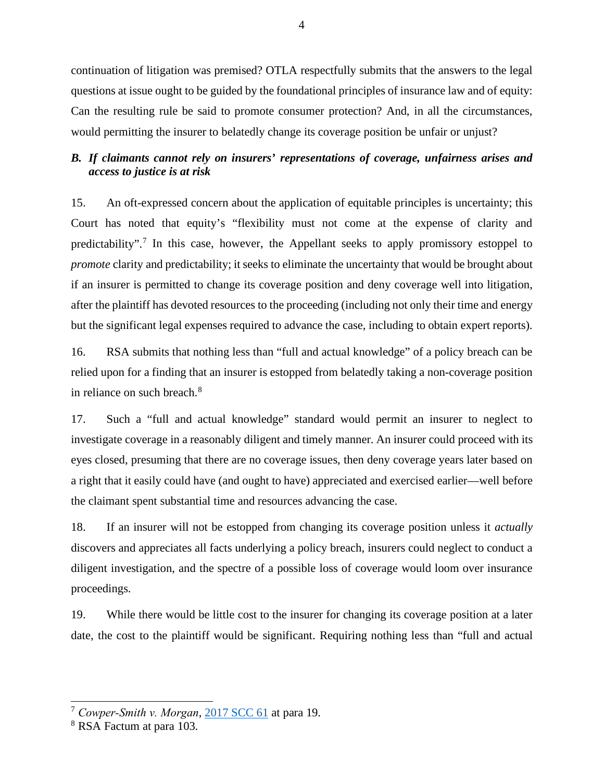continuation of litigation was premised? OTLA respectfully submits that the answers to the legal questions at issue ought to be guided by the foundational principles of insurance law and of equity: Can the resulting rule be said to promote consumer protection? And, in all the circumstances, would permitting the insurer to belatedly change its coverage position be unfair or unjust?

# <span id="page-6-0"></span>*B. If claimants cannot rely on insurers' representations of coverage, unfairness arises and access to justice is at risk*

15. An oft-expressed concern about the application of equitable principles is uncertainty; this Court has noted that equity's "flexibility must not come at the expense of clarity and predictability".[7](#page-6-1) In this case, however, the Appellant seeks to apply promissory estoppel to *promote* clarity and predictability; it seeks to eliminate the uncertainty that would be brought about if an insurer is permitted to change its coverage position and deny coverage well into litigation, after the plaintiff has devoted resources to the proceeding (including not only their time and energy but the significant legal expenses required to advance the case, including to obtain expert reports).

16. RSA submits that nothing less than "full and actual knowledge" of a policy breach can be relied upon for a finding that an insurer is estopped from belatedly taking a non-coverage position in reliance on such breach.<sup>[8](#page-6-2)</sup>

17. Such a "full and actual knowledge" standard would permit an insurer to neglect to investigate coverage in a reasonably diligent and timely manner. An insurer could proceed with its eyes closed, presuming that there are no coverage issues, then deny coverage years later based on a right that it easily could have (and ought to have) appreciated and exercised earlier—well before the claimant spent substantial time and resources advancing the case.

18. If an insurer will not be estopped from changing its coverage position unless it *actually* discovers and appreciates all facts underlying a policy breach, insurers could neglect to conduct a diligent investigation, and the spectre of a possible loss of coverage would loom over insurance proceedings.

19. While there would be little cost to the insurer for changing its coverage position at a later date, the cost to the plaintiff would be significant. Requiring nothing less than "full and actual

<span id="page-6-1"></span><sup>7</sup> *Cowper‑Smith v. Morgan*, [2017 SCC 61](https://canlii.ca/t/hp9mm) at para 19.

<span id="page-6-2"></span><sup>8</sup> RSA Factum at para 103.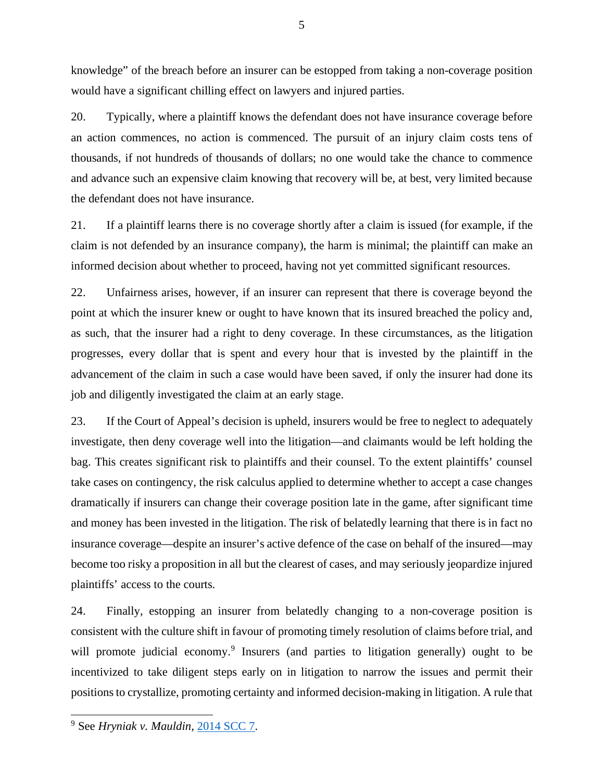knowledge" of the breach before an insurer can be estopped from taking a non-coverage position would have a significant chilling effect on lawyers and injured parties.

5

20. Typically, where a plaintiff knows the defendant does not have insurance coverage before an action commences, no action is commenced. The pursuit of an injury claim costs tens of thousands, if not hundreds of thousands of dollars; no one would take the chance to commence and advance such an expensive claim knowing that recovery will be, at best, very limited because the defendant does not have insurance.

21. If a plaintiff learns there is no coverage shortly after a claim is issued (for example, if the claim is not defended by an insurance company), the harm is minimal; the plaintiff can make an informed decision about whether to proceed, having not yet committed significant resources.

22. Unfairness arises, however, if an insurer can represent that there is coverage beyond the point at which the insurer knew or ought to have known that its insured breached the policy and, as such, that the insurer had a right to deny coverage. In these circumstances, as the litigation progresses, every dollar that is spent and every hour that is invested by the plaintiff in the advancement of the claim in such a case would have been saved, if only the insurer had done its job and diligently investigated the claim at an early stage.

23. If the Court of Appeal's decision is upheld, insurers would be free to neglect to adequately investigate, then deny coverage well into the litigation—and claimants would be left holding the bag. This creates significant risk to plaintiffs and their counsel. To the extent plaintiffs' counsel take cases on contingency, the risk calculus applied to determine whether to accept a case changes dramatically if insurers can change their coverage position late in the game, after significant time and money has been invested in the litigation. The risk of belatedly learning that there is in fact no insurance coverage—despite an insurer's active defence of the case on behalf of the insured—may become too risky a proposition in all but the clearest of cases, and may seriously jeopardize injured plaintiffs' access to the courts.

24. Finally, estopping an insurer from belatedly changing to a non-coverage position is consistent with the culture shift in favour of promoting timely resolution of claims before trial, and will promote judicial economy.<sup>[9](#page-7-0)</sup> Insurers (and parties to litigation generally) ought to be incentivized to take diligent steps early on in litigation to narrow the issues and permit their positions to crystallize, promoting certainty and informed decision-making in litigation. A rule that

<span id="page-7-0"></span><sup>9</sup> See *Hryniak v. Mauldin*, [2014 SCC 7.](https://canlii.ca/t/g2s18)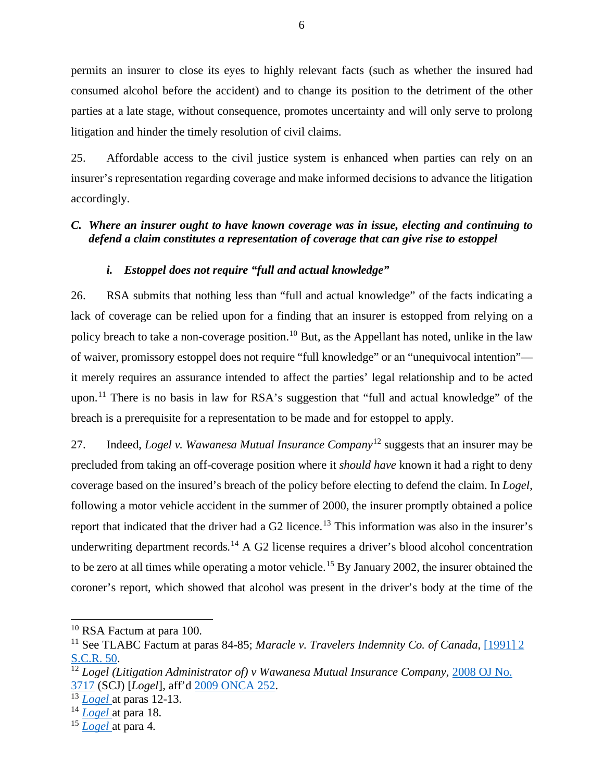permits an insurer to close its eyes to highly relevant facts (such as whether the insured had consumed alcohol before the accident) and to change its position to the detriment of the other parties at a late stage, without consequence, promotes uncertainty and will only serve to prolong litigation and hinder the timely resolution of civil claims.

25. Affordable access to the civil justice system is enhanced when parties can rely on an insurer's representation regarding coverage and make informed decisions to advance the litigation accordingly.

# <span id="page-8-0"></span>*C. Where an insurer ought to have known coverage was in issue, electing and continuing to defend a claim constitutes a representation of coverage that can give rise to estoppel*

## *i. Estoppel does not require "full and actual knowledge"*

<span id="page-8-1"></span>26. RSA submits that nothing less than "full and actual knowledge" of the facts indicating a lack of coverage can be relied upon for a finding that an insurer is estopped from relying on a policy breach to take a non-coverage position.<sup>[10](#page-8-2)</sup> But, as the Appellant has noted, unlike in the law of waiver, promissory estoppel does not require "full knowledge" or an "unequivocal intention" it merely requires an assurance intended to affect the parties' legal relationship and to be acted upon.<sup>[11](#page-8-3)</sup> There is no basis in law for RSA's suggestion that "full and actual knowledge" of the breach is a prerequisite for a representation to be made and for estoppel to apply.

27. Indeed, *Logel v. Wawanesa Mutual Insurance Company*[12](#page-8-4) suggests that an insurer may be precluded from taking an off-coverage position where it *should have* known it had a right to deny coverage based on the insured's breach of the policy before electing to defend the claim. In *Logel*, following a motor vehicle accident in the summer of 2000, the insurer promptly obtained a police report that indicated that the driver had a G2 licence.<sup>[13](#page-8-5)</sup> This information was also in the insurer's underwriting department records.<sup>[14](#page-8-6)</sup> A G2 license requires a driver's blood alcohol concentration to be zero at all times while operating a motor vehicle. [15](#page-8-7) By January 2002, the insurer obtained the coroner's report, which showed that alcohol was present in the driver's body at the time of the

<span id="page-8-2"></span><sup>&</sup>lt;sup>10</sup> RSA Factum at para 100.

<span id="page-8-3"></span><sup>&</sup>lt;sup>11</sup> See TLABC Factum at paras 84-85; *Maracle v. Travelers Indemnity Co. of Canada*, [1991] 2 [S.C.R. 50.](https://canlii.ca/t/1fslb)

<span id="page-8-4"></span><sup>&</sup>lt;sup>12</sup> Logel *(Litigation Administrator of) v* Wawanesa Mutual Insurance Company, 2008 OJ No. [3717](https://advance.lexis.com/search/?pdmfid=1505209&crid=bd4254ae-52a4-40b8-a141-1005236151e6&pdsearchterms=logel+(litigation+administrator+of)+v.+wawanesa+mutual+insurance+co.%2C+%5B2008%5D+o.j.+no.+3717&pdicsfeatureid=1517129&pdstartin=hlct%3A1%3A11&pdcaseshlctselectedbyuser=false&pdtypeofsearch=searchboxclick&pdsearchtype=SearchBox&pdqttype=and&pdquerytemplateid=&ecomp=wg58k&prid=47eff2ee-a31b-43ff-8776-066b0c1faa8d) (SCJ) [*Logel*], aff'd [2009 ONCA 252.](https://canlii.ca/t/22vm1)

<span id="page-8-5"></span><sup>&</sup>lt;sup>13</sup> *Logel* at paras 12-13.

<span id="page-8-6"></span><sup>14</sup> *[Logel](https://advance.lexis.com/search/?pdmfid=1505209&crid=bd4254ae-52a4-40b8-a141-1005236151e6&pdsearchterms=logel+(litigation+administrator+of)+v.+wawanesa+mutual+insurance+co.%2C+%5B2008%5D+o.j.+no.+3717&pdicsfeatureid=1517129&pdstartin=hlct%3A1%3A11&pdcaseshlctselectedbyuser=false&pdtypeofsearch=searchboxclick&pdsearchtype=SearchBox&pdqttype=and&pdquerytemplateid=&ecomp=wg58k&prid=47eff2ee-a31b-43ff-8776-066b0c1faa8d)* at para 18.

<span id="page-8-7"></span><sup>15</sup> *[Logel](https://advance.lexis.com/search/?pdmfid=1505209&crid=bd4254ae-52a4-40b8-a141-1005236151e6&pdsearchterms=logel+(litigation+administrator+of)+v.+wawanesa+mutual+insurance+co.%2C+%5B2008%5D+o.j.+no.+3717&pdicsfeatureid=1517129&pdstartin=hlct%3A1%3A11&pdcaseshlctselectedbyuser=false&pdtypeofsearch=searchboxclick&pdsearchtype=SearchBox&pdqttype=and&pdquerytemplateid=&ecomp=wg58k&prid=47eff2ee-a31b-43ff-8776-066b0c1faa8d)* at para 4.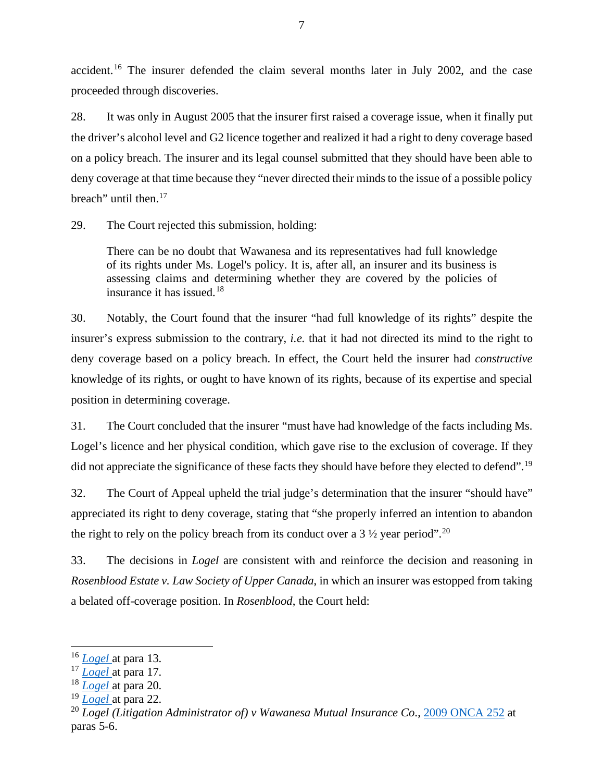accident.<sup>[16](#page-9-0)</sup> The insurer defended the claim several months later in July 2002, and the case proceeded through discoveries.

28. It was only in August 2005 that the insurer first raised a coverage issue, when it finally put the driver's alcohol level and G2 licence together and realized it had a right to deny coverage based on a policy breach. The insurer and its legal counsel submitted that they should have been able to deny coverage at that time because they "never directed their minds to the issue of a possible policy breach" until then.<sup>[17](#page-9-1)</sup>

29. The Court rejected this submission, holding:

There can be no doubt that Wawanesa and its representatives had full knowledge of its rights under Ms. Logel's policy. It is, after all, an insurer and its business is assessing claims and determining whether they are covered by the policies of insurance it has issued.<sup>[18](#page-9-2)</sup>

30. Notably, the Court found that the insurer "had full knowledge of its rights" despite the insurer's express submission to the contrary, *i.e.* that it had not directed its mind to the right to deny coverage based on a policy breach. In effect, the Court held the insurer had *constructive*  knowledge of its rights, or ought to have known of its rights, because of its expertise and special position in determining coverage.

31. The Court concluded that the insurer "must have had knowledge of the facts including Ms. Logel's licence and her physical condition, which gave rise to the exclusion of coverage. If they did not appreciate the significance of these facts they should have before they elected to defend".<sup>[19](#page-9-3)</sup>

32. The Court of Appeal upheld the trial judge's determination that the insurer "should have" appreciated its right to deny coverage, stating that "she properly inferred an intention to abandon the right to rely on the policy breach from its conduct over a  $3\frac{1}{2}$  year period".<sup>[20](#page-9-4)</sup>

33. The decisions in *Logel* are consistent with and reinforce the decision and reasoning in *Rosenblood Estate v. Law Society of Upper Canada*, in which an insurer was estopped from taking a belated off-coverage position. In *Rosenblood*, the Court held:

<span id="page-9-0"></span><sup>16</sup> *[Logel](https://advance.lexis.com/search/?pdmfid=1505209&crid=bd4254ae-52a4-40b8-a141-1005236151e6&pdsearchterms=logel+(litigation+administrator+of)+v.+wawanesa+mutual+insurance+co.%2C+%5B2008%5D+o.j.+no.+3717&pdicsfeatureid=1517129&pdstartin=hlct%3A1%3A11&pdcaseshlctselectedbyuser=false&pdtypeofsearch=searchboxclick&pdsearchtype=SearchBox&pdqttype=and&pdquerytemplateid=&ecomp=wg58k&prid=47eff2ee-a31b-43ff-8776-066b0c1faa8d)* at para 13.

<span id="page-9-1"></span><sup>17</sup> *[Logel](https://advance.lexis.com/search/?pdmfid=1505209&crid=bd4254ae-52a4-40b8-a141-1005236151e6&pdsearchterms=logel+(litigation+administrator+of)+v.+wawanesa+mutual+insurance+co.%2C+%5B2008%5D+o.j.+no.+3717&pdicsfeatureid=1517129&pdstartin=hlct%3A1%3A11&pdcaseshlctselectedbyuser=false&pdtypeofsearch=searchboxclick&pdsearchtype=SearchBox&pdqttype=and&pdquerytemplateid=&ecomp=wg58k&prid=47eff2ee-a31b-43ff-8776-066b0c1faa8d)* at para 17.

<span id="page-9-2"></span><sup>18</sup> *[Logel](https://advance.lexis.com/search/?pdmfid=1505209&crid=bd4254ae-52a4-40b8-a141-1005236151e6&pdsearchterms=logel+(litigation+administrator+of)+v.+wawanesa+mutual+insurance+co.%2C+%5B2008%5D+o.j.+no.+3717&pdicsfeatureid=1517129&pdstartin=hlct%3A1%3A11&pdcaseshlctselectedbyuser=false&pdtypeofsearch=searchboxclick&pdsearchtype=SearchBox&pdqttype=and&pdquerytemplateid=&ecomp=wg58k&prid=47eff2ee-a31b-43ff-8776-066b0c1faa8d)* at para 20.

<span id="page-9-3"></span><sup>19</sup> *[Logel](https://advance.lexis.com/search/?pdmfid=1505209&crid=bd4254ae-52a4-40b8-a141-1005236151e6&pdsearchterms=logel+(litigation+administrator+of)+v.+wawanesa+mutual+insurance+co.%2C+%5B2008%5D+o.j.+no.+3717&pdicsfeatureid=1517129&pdstartin=hlct%3A1%3A11&pdcaseshlctselectedbyuser=false&pdtypeofsearch=searchboxclick&pdsearchtype=SearchBox&pdqttype=and&pdquerytemplateid=&ecomp=wg58k&prid=47eff2ee-a31b-43ff-8776-066b0c1faa8d)* at para 22.

<span id="page-9-4"></span><sup>20</sup> *Logel (Litigation Administrator of) v Wawanesa Mutual Insurance Co*., [2009 ONCA 252](https://canlii.ca/t/22vm1) at paras 5-6.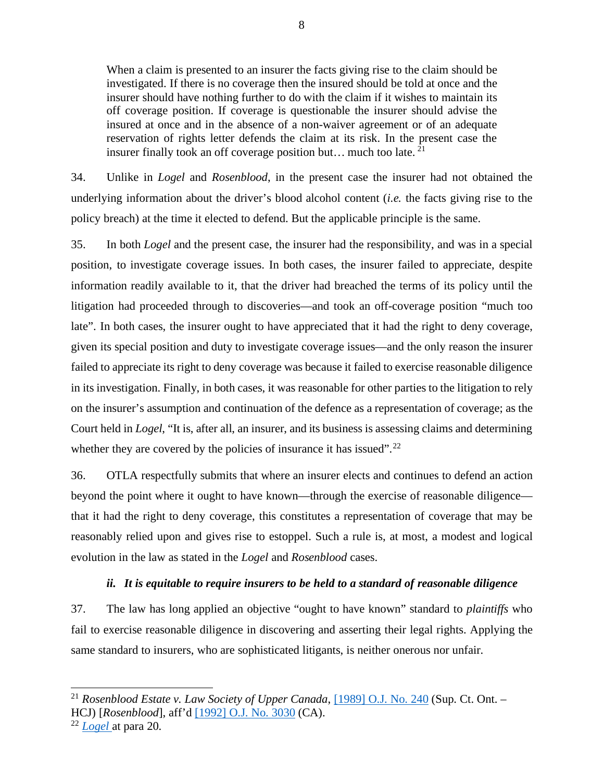When a claim is presented to an insurer the facts giving rise to the claim should be investigated. If there is no coverage then the insured should be told at once and the insurer should have nothing further to do with the claim if it wishes to maintain its off coverage position. If coverage is questionable the insurer should advise the insured at once and in the absence of a non-waiver agreement or of an adequate reservation of rights letter defends the claim at its risk. In the present case the insurer finally took an off coverage position but... much too late.  $21$ 

34. Unlike in *Logel* and *Rosenblood*, in the present case the insurer had not obtained the underlying information about the driver's blood alcohol content (*i.e.* the facts giving rise to the policy breach) at the time it elected to defend. But the applicable principle is the same.

35. In both *Logel* and the present case, the insurer had the responsibility, and was in a special position, to investigate coverage issues. In both cases, the insurer failed to appreciate, despite information readily available to it, that the driver had breached the terms of its policy until the litigation had proceeded through to discoveries—and took an off-coverage position "much too late". In both cases, the insurer ought to have appreciated that it had the right to deny coverage, given its special position and duty to investigate coverage issues—and the only reason the insurer failed to appreciate its right to deny coverage was because it failed to exercise reasonable diligence in its investigation. Finally, in both cases, it was reasonable for other parties to the litigation to rely on the insurer's assumption and continuation of the defence as a representation of coverage; as the Court held in *Logel*, "It is, after all, an insurer, and its business is assessing claims and determining whether they are covered by the policies of insurance it has issued".<sup>[22](#page-10-2)</sup>

36. OTLA respectfully submits that where an insurer elects and continues to defend an action beyond the point where it ought to have known—through the exercise of reasonable diligence that it had the right to deny coverage, this constitutes a representation of coverage that may be reasonably relied upon and gives rise to estoppel. Such a rule is, at most, a modest and logical evolution in the law as stated in the *Logel* and *Rosenblood* cases.

## *ii. It is equitable to require insurers to be held to a standard of reasonable diligence*

<span id="page-10-0"></span>37. The law has long applied an objective "ought to have known" standard to *plaintiffs* who fail to exercise reasonable diligence in discovering and asserting their legal rights. Applying the same standard to insurers, who are sophisticated litigants, is neither onerous nor unfair.

<span id="page-10-1"></span><sup>21</sup> *Rosenblood Estate v. Law Society of Upper Canada*, [\[1989\] O.J. No. 240](https://advance.lexis.com/search/?pdmfid=1505209&crid=5ad87ab6-e8f8-4d2c-afc8-f1bb9c932046&pdsearchterms=rosenblood+estate+v.+law+society+of+upper+canada%2C+%5B1989%5D+o.j.+no.+240&pdicsfeatureid=1517129&pdstartin=hlct%3A1%3A11&pdcaseshlctselectedbyuser=false&pdtypeofsearch=searchboxclick&pdsearchtype=SearchBox&pdqttype=or&pdpsf=%3A%3A1&pdquerytemplateid=&ecomp=kdkt9kk&earg=pdpsf&prid=0a2272e6-e83b-4cb9-aace-dd57e2dd4d3e) (Sup. Ct. Ont. – HCJ) [*Rosenblood*], aff'd [\[1992\] O.J. No. 3030](https://advance.lexis.com/search/?pdmfid=1505209&crid=cd3f9f77-e790-4550-89fb-e056f76cd18d&pdsearchterms=rosenblood+estate+v.+law+society+of+upper+canada+(ont.+c.a.)%2C+%5B1992%5D+o.j.+no.+3030&pdicsfeatureid=1517129&pdstartin=hlct%3A1%3A11&pdcaseshlctselectedbyuser=false&pdtypeofsearch=searchboxclick&pdsearchtype=SearchBox&pdqttype=or&pdpsf=%3A%3A1&pdquerytemplateid=&ecomp=kdkt9kk&earg=pdpsf&prid=0a2272e6-e83b-4cb9-aace-dd57e2dd4d3e) (CA).

<span id="page-10-2"></span><sup>22</sup> *[Logel](https://advance.lexis.com/search/?pdmfid=1505209&crid=bd4254ae-52a4-40b8-a141-1005236151e6&pdsearchterms=logel+(litigation+administrator+of)+v.+wawanesa+mutual+insurance+co.%2C+%5B2008%5D+o.j.+no.+3717&pdicsfeatureid=1517129&pdstartin=hlct%3A1%3A11&pdcaseshlctselectedbyuser=false&pdtypeofsearch=searchboxclick&pdsearchtype=SearchBox&pdqttype=and&pdquerytemplateid=&ecomp=wg58k&prid=47eff2ee-a31b-43ff-8776-066b0c1faa8d)* at para 20.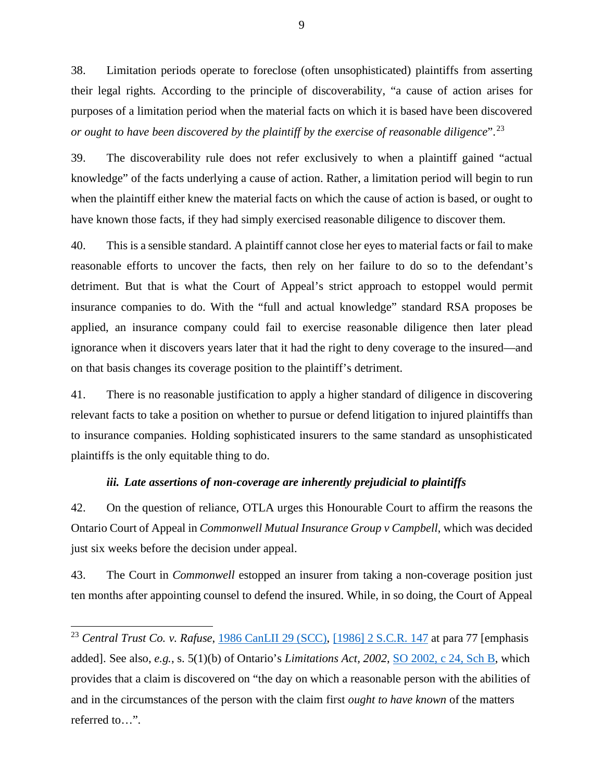38. Limitation periods operate to foreclose (often unsophisticated) plaintiffs from asserting their legal rights. According to the principle of discoverability, "a cause of action arises for purposes of a limitation period when the material facts on which it is based have been discovered *or ought to have been discovered by the plaintiff by the exercise of reasonable diligence*".[23](#page-11-1)

39. The discoverability rule does not refer exclusively to when a plaintiff gained "actual knowledge" of the facts underlying a cause of action. Rather, a limitation period will begin to run when the plaintiff either knew the material facts on which the cause of action is based, or ought to have known those facts, if they had simply exercised reasonable diligence to discover them.

40. This is a sensible standard. A plaintiff cannot close her eyes to material facts or fail to make reasonable efforts to uncover the facts, then rely on her failure to do so to the defendant's detriment. But that is what the Court of Appeal's strict approach to estoppel would permit insurance companies to do. With the "full and actual knowledge" standard RSA proposes be applied, an insurance company could fail to exercise reasonable diligence then later plead ignorance when it discovers years later that it had the right to deny coverage to the insured—and on that basis changes its coverage position to the plaintiff's detriment.

41. There is no reasonable justification to apply a higher standard of diligence in discovering relevant facts to take a position on whether to pursue or defend litigation to injured plaintiffs than to insurance companies. Holding sophisticated insurers to the same standard as unsophisticated plaintiffs is the only equitable thing to do.

## *iii. Late assertions of non-coverage are inherently prejudicial to plaintiffs*

<span id="page-11-0"></span>42. On the question of reliance, OTLA urges this Honourable Court to affirm the reasons the Ontario Court of Appeal in *Commonwell Mutual Insurance Group v Campbell*, which was decided just six weeks before the decision under appeal.

43. The Court in *Commonwell* estopped an insurer from taking a non-coverage position just ten months after appointing counsel to defend the insured. While, in so doing, the Court of Appeal

<span id="page-11-1"></span><sup>&</sup>lt;sup>23</sup> *Central Trust Co. v. Rafuse*, [1986 CanLII 29 \(SCC\),](https://www.canlii.org/en/ca/scc/doc/1986/1986canlii29/1986canlii29.html) [\[1986\] 2 S.C.R. 147](https://canlii.ca/t/1ftsl) at para 77 [emphasis added]. See also, *e.g.*, s. 5(1)(b) of Ontario's *Limitations Act, 2002*, [SO 2002, c 24, Sch B,](https://www.canlii.org/en/on/laws/stat/so-2002-c-24-sch-b/168192/so-2002-c-24-sch-b.html#sec5subsec1) which provides that a claim is discovered on "the day on which a reasonable person with the abilities of and in the circumstances of the person with the claim first *ought to have known* of the matters referred to…".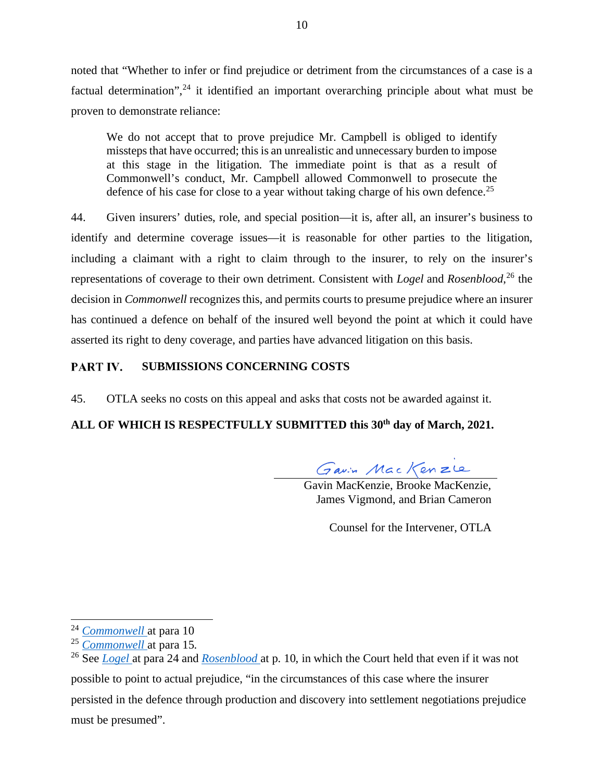noted that "Whether to infer or find prejudice or detriment from the circumstances of a case is a factual determination",<sup>[24](#page-12-1)</sup> it identified an important overarching principle about what must be proven to demonstrate reliance:

We do not accept that to prove prejudice Mr. Campbell is obliged to identify missteps that have occurred; this is an unrealistic and unnecessary burden to impose at this stage in the litigation. The immediate point is that as a result of Commonwell's conduct, Mr. Campbell allowed Commonwell to prosecute the defence of his case for close to a year without taking charge of his own defence.<sup>[25](#page-12-2)</sup>

44. Given insurers' duties, role, and special position—it is, after all, an insurer's business to identify and determine coverage issues—it is reasonable for other parties to the litigation, including a claimant with a right to claim through to the insurer, to rely on the insurer's representations of coverage to their own detriment. Consistent with *Logel* and *Rosenblood*, [26](#page-12-3) the decision in *Commonwell* recognizes this, and permits courts to presume prejudice where an insurer has continued a defence on behalf of the insured well beyond the point at which it could have asserted its right to deny coverage, and parties have advanced litigation on this basis.

#### <span id="page-12-0"></span>PART IV. **SUBMISSIONS CONCERNING COSTS**

45. OTLA seeks no costs on this appeal and asks that costs not be awarded against it.

# **ALL OF WHICH IS RESPECTFULLY SUBMITTED this 30th day of March, 2021.**

Gavin MacKenzle

Gavin MacKenzie, Brooke MacKenzie, James Vigmond, and Brian Cameron

Counsel for the Intervener, OTLA

<span id="page-12-1"></span><sup>24</sup> *[Commonwell](https://canlii.ca/t/j24k4)* at para 10

<span id="page-12-2"></span><sup>25</sup> *[Commonwell](https://canlii.ca/t/j24k4)* at para 15.

<span id="page-12-3"></span><sup>26</sup> See *[Logel](https://advance.lexis.com/search/?pdmfid=1505209&crid=bd4254ae-52a4-40b8-a141-1005236151e6&pdsearchterms=logel+(litigation+administrator+of)+v.+wawanesa+mutual+insurance+co.%2C+%5B2008%5D+o.j.+no.+3717&pdicsfeatureid=1517129&pdstartin=hlct%3A1%3A11&pdcaseshlctselectedbyuser=false&pdtypeofsearch=searchboxclick&pdsearchtype=SearchBox&pdqttype=and&pdquerytemplateid=&ecomp=wg58k&prid=47eff2ee-a31b-43ff-8776-066b0c1faa8d)* at para 24 and *[Rosenblood](https://advance.lexis.com/search/?pdmfid=1505209&crid=5ad87ab6-e8f8-4d2c-afc8-f1bb9c932046&pdsearchterms=rosenblood+estate+v.+law+society+of+upper+canada%2C+%5B1989%5D+o.j.+no.+240&pdicsfeatureid=1517129&pdstartin=hlct%3A1%3A11&pdcaseshlctselectedbyuser=false&pdtypeofsearch=searchboxclick&pdsearchtype=SearchBox&pdqttype=or&pdpsf=%3A%3A1&pdquerytemplateid=&ecomp=kdkt9kk&earg=pdpsf&prid=0a2272e6-e83b-4cb9-aace-dd57e2dd4d3e)* at p. 10, in which the Court held that even if it was not possible to point to actual prejudice, "in the circumstances of this case where the insurer persisted in the defence through production and discovery into settlement negotiations prejudice must be presumed".